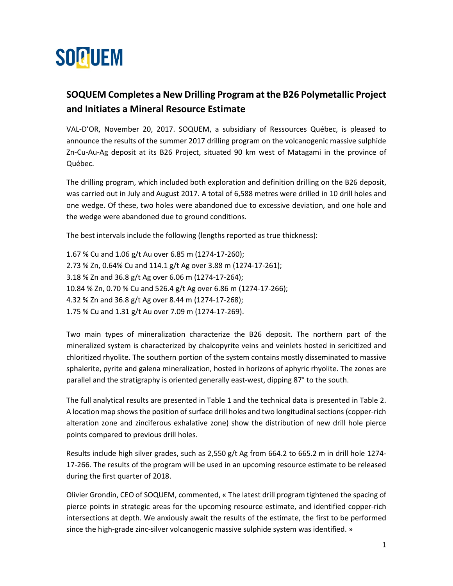

## **SOQUEM Completes a New Drilling Program at the B26 Polymetallic Project and Initiates a Mineral Resource Estimate**

VAL-D'OR, November 20, 2017. SOQUEM, a subsidiary of Ressources Québec, is pleased to announce the results of the summer 2017 drilling program on the volcanogenic massive sulphide Zn-Cu-Au-Ag deposit at its B26 Project, situated 90 km west of Matagami in the province of Québec.

The drilling program, which included both exploration and definition drilling on the B26 deposit, was carried out in July and August 2017. A total of 6,588 metres were drilled in 10 drill holes and one wedge. Of these, two holes were abandoned due to excessive deviation, and one hole and the wedge were abandoned due to ground conditions.

The best intervals include the following (lengths reported as true thickness):

1.67 % Cu and 1.06 g/t Au over 6.85 m (1274-17-260); 2.73 % Zn, 0.64% Cu and 114.1 g/t Ag over 3.88 m (1274-17-261); 3.18 % Zn and 36.8 g/t Ag over 6.06 m (1274-17-264); 10.84 % Zn, 0.70 % Cu and 526.4 g/t Ag over 6.86 m (1274-17-266); 4.32 % Zn and 36.8 g/t Ag over 8.44 m (1274-17-268); 1.75 % Cu and 1.31 g/t Au over 7.09 m (1274-17-269).

Two main types of mineralization characterize the B26 deposit. The northern part of the mineralized system is characterized by chalcopyrite veins and veinlets hosted in sericitized and chloritized rhyolite. The southern portion of the system contains mostly disseminated to massive sphalerite, pyrite and galena mineralization, hosted in horizons of aphyric rhyolite. The zones are parallel and the stratigraphy is oriented generally east-west, dipping 87° to the south.

The full analytical results are presented in Table 1 and the technical data is presented in Table 2. A location map shows the position of surface drill holes and two longitudinal sections (copper-rich alteration zone and zinciferous exhalative zone) show the distribution of new drill hole pierce points compared to previous drill holes.

Results include high silver grades, such as 2,550 g/t Ag from 664.2 to 665.2 m in drill hole 1274- 17-266. The results of the program will be used in an upcoming resource estimate to be released during the first quarter of 2018.

Olivier Grondin, CEO of SOQUEM, commented, « The latest drill program tightened the spacing of pierce points in strategic areas for the upcoming resource estimate, and identified copper-rich intersections at depth. We anxiously await the results of the estimate, the first to be performed since the high-grade zinc-silver volcanogenic massive sulphide system was identified. »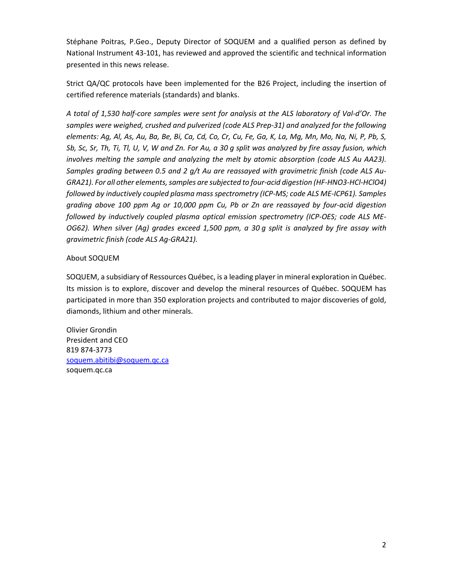Stéphane Poitras, P.Geo., Deputy Director of SOQUEM and a qualified person as defined by National Instrument 43-101, has reviewed and approved the scientific and technical information presented in this news release.

Strict QA/QC protocols have been implemented for the B26 Project, including the insertion of certified reference materials (standards) and blanks.

*A total of 1,530 half-core samples were sent for analysis at the ALS laboratory of Val-d'Or. The samples were weighed, crushed and pulverized (code ALS Prep-31) and analyzed for the following elements: Ag, Al, As, Au, Ba, Be, Bi, Ca, Cd, Co, Cr, Cu, Fe, Ga, K, La, Mg, Mn, Mo, Na, Ni, P, Pb, S, Sb, Sc, Sr, Th, Ti, Tl, U, V, W and Zn. For Au, a 30 g split was analyzed by fire assay fusion, which involves melting the sample and analyzing the melt by atomic absorption (code ALS Au AA23). Samples grading between 0.5 and 2 g/t Au are reassayed with gravimetric finish (code ALS Au-GRA21). For all other elements, samples are subjected to four-acid digestion (HF-HNO3-HCl-HClO4) followed by inductively coupled plasma mass spectrometry (ICP-MS; code ALS ME-ICP61). Samples grading above 100 ppm Ag or 10,000 ppm Cu, Pb or Zn are reassayed by four-acid digestion followed by inductively coupled plasma optical emission spectrometry (ICP-OES; code ALS ME-OG62). When silver (Ag) grades exceed 1,500 ppm, a 30 g split is analyzed by fire assay with gravimetric finish (code ALS Ag-GRA21).*

## About SOQUEM

SOQUEM, a subsidiary of Ressources Québec, is a leading player in mineral exploration in Québec. Its mission is to explore, discover and develop the mineral resources of Québec. SOQUEM has participated in more than 350 exploration projects and contributed to major discoveries of gold, diamonds, lithium and other minerals.

Olivier Grondin President and CEO 819 874-3773 [soquem.abitibi@soquem.qc.ca](mailto:soquem.abitibi@soquem.qc.ca) soquem.qc.ca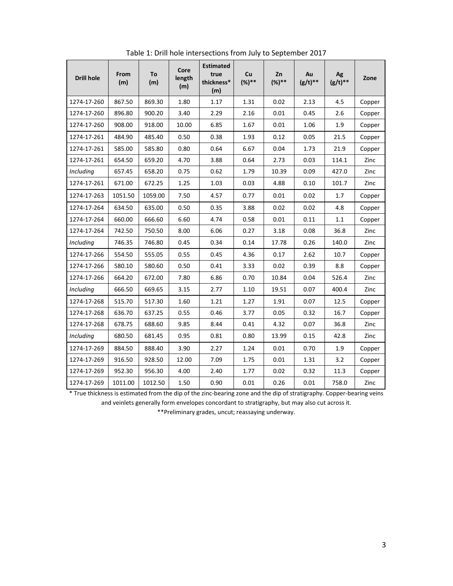| <b>Drill hole</b> | From<br>(m) | To<br>(m) | Core<br>length<br>(m) | <b>Estimated</b><br>true<br>thickness*<br>(m) | Cu<br>$(%)**$ | Zn<br>$(%)**$ | Au<br>$(g/t)**$ | Ag<br>$(g/t)**$ | Zone   |
|-------------------|-------------|-----------|-----------------------|-----------------------------------------------|---------------|---------------|-----------------|-----------------|--------|
| 1274-17-260       | 867.50      | 869.30    | 1.80                  | 1.17                                          | 1.31          | 0.02          | 2.13            | 4.5             | Copper |
| 1274-17-260       | 896.80      | 900.20    | 3.40                  | 2.29                                          | 2.16          | 0.01          | 0.45            | 2.6             | Copper |
| 1274-17-260       | 908.00      | 918.00    | 10.00                 | 6.85                                          | 1.67          | 0.01          | 1.06            | 1.9             | Copper |
| 1274-17-261       | 484.90      | 485.40    | 0.50                  | 0.38                                          | 1.93          | 0.12          | 0.05            | 21.5            | Copper |
| 1274-17-261       | 585.00      | 585.80    | 0.80                  | 0.64                                          | 6.67          | 0.04          | 1.73            | 21.9            | Copper |
| 1274-17-261       | 654.50      | 659.20    | 4.70                  | 3.88                                          | 0.64          | 2.73          | 0.03            | 114.1           | Zinc   |
| Including         | 657.45      | 658.20    | 0.75                  | 0.62                                          | 1.79          | 10.39         | 0.09            | 427.0           | Zinc   |
| 1274-17-261       | 671.00      | 672.25    | 1.25                  | 1.03                                          | 0.03          | 4.88          | 0.10            | 101.7           | Zinc   |
| 1274-17-263       | 1051.50     | 1059.00   | 7.50                  | 4.57                                          | 0.77          | 0.01          | 0.02            | 1.7             | Copper |
| 1274-17-264       | 634.50      | 635.00    | 0.50                  | 0.35                                          | 3.88          | 0.02          | 0.02            | 4.8             | Copper |
| 1274-17-264       | 660.00      | 666.60    | 6.60                  | 4.74                                          | 0.58          | 0.01          | 0.11            | 1.1             | Copper |
| 1274-17-264       | 742.50      | 750.50    | 8.00                  | 6.06                                          | 0.27          | 3.18          | 0.08            | 36.8            | Zinc   |
| Including         | 746.35      | 746.80    | 0.45                  | 0.34                                          | 0.14          | 17.78         | 0.26            | 140.0           | Zinc   |
| 1274-17-266       | 554.50      | 555.05    | 0.55                  | 0.45                                          | 4.36          | 0.17          | 2.62            | 10.7            | Copper |
| 1274-17-266       | 580.10      | 580.60    | 0.50                  | 0.41                                          | 3.33          | 0.02          | 0.39            | 8.8             | Copper |
| 1274-17-266       | 664.20      | 672.00    | 7.80                  | 6.86                                          | 0.70          | 10.84         | 0.04            | 526.4           | Zinc   |
| <b>Including</b>  | 666.50      | 669.65    | 3.15                  | 2.77                                          | 1.10          | 19.51         | 0.07            | 400.4           | Zinc   |
| 1274-17-268       | 515.70      | 517.30    | 1.60                  | 1.21                                          | 1.27          | 1.91          | 0.07            | 12.5            | Copper |
| 1274-17-268       | 636.70      | 637.25    | 0.55                  | 0.46                                          | 3.77          | 0.05          | 0.32            | 16.7            | Copper |
| 1274-17-268       | 678.75      | 688.60    | 9.85                  | 8.44                                          | 0.41          | 4.32          | 0.07            | 36.8            | Zinc   |
| Including         | 680.50      | 681.45    | 0.95                  | 0.81                                          | 0.80          | 13.99         | 0.15            | 42.8            | Zinc   |
| 1274-17-269       | 884.50      | 888.40    | 3.90                  | 2.27                                          | 1.24          | 0.01          | 0.70            | 1.9             | Copper |
| 1274-17-269       | 916.50      | 928.50    | 12.00                 | 7.09                                          | 1.75          | 0.01          | 1.31            | 3.2             | Copper |
| 1274-17-269       | 952.30      | 956.30    | 4.00                  | 2.40                                          | 1.77          | 0.02          | 0.32            | 11.3            | Copper |
| 1274-17-269       | 1011.00     | 1012.50   | 1.50                  | 0.90                                          | 0.01          | 0.26          | 0.01            | 758.0           | Zinc   |

Table 1: Drill hole intersections from July to September 2017

\* True thickness is estimated from the dip of the zinc-bearing zone and the dip of stratigraphy. Copper-bearing veins

and veinlets generally form envelopes concordant to stratigraphy, but may also cut across it.

\*\*Preliminary grades, uncut; reassaying underway.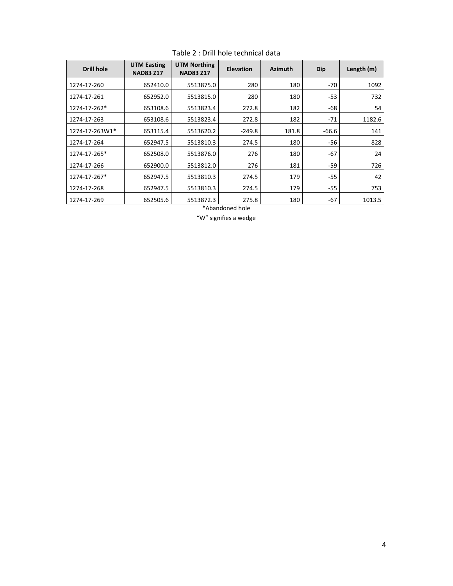| <b>Drill hole</b> | <b>UTM Easting</b><br><b>NAD83 Z17</b> | <b>UTM Northing</b><br><b>NAD83 Z17</b> | <b>Elevation</b> | <b>Azimuth</b> | Dip     | Length (m) |
|-------------------|----------------------------------------|-----------------------------------------|------------------|----------------|---------|------------|
| 1274-17-260       | 652410.0                               | 5513875.0                               | 280              | 180            | -70     | 1092       |
| 1274-17-261       | 652952.0                               | 5513815.0                               | 280              | 180            | $-53$   | 732        |
| 1274-17-262*      | 653108.6                               | 5513823.4                               | 272.8            | 182            | -68     | 54         |
| 1274-17-263       | 653108.6                               | 5513823.4                               | 272.8            | 182            | $-71$   | 1182.6     |
| 1274-17-263W1*    | 653115.4                               | 5513620.2                               | $-249.8$         | 181.8          | $-66.6$ | 141        |
| 1274-17-264       | 652947.5                               | 5513810.3                               | 274.5            | 180            | $-56$   | 828        |
| 1274-17-265*      | 652508.0                               | 5513876.0                               | 276              | 180            | $-67$   | 24         |
| 1274-17-266       | 652900.0                               | 5513812.0                               | 276              | 181            | -59     | 726        |
| 1274-17-267*      | 652947.5                               | 5513810.3                               | 274.5            | 179            | -55     | 42         |
| 1274-17-268       | 652947.5                               | 5513810.3                               | 274.5            | 179            | -55     | 753        |
| 1274-17-269       | 652505.6                               | 5513872.3                               | 275.8            | 180            | $-67$   | 1013.5     |

Table 2 : Drill hole technical data

\*Abandoned hole

"W" signifies a wedge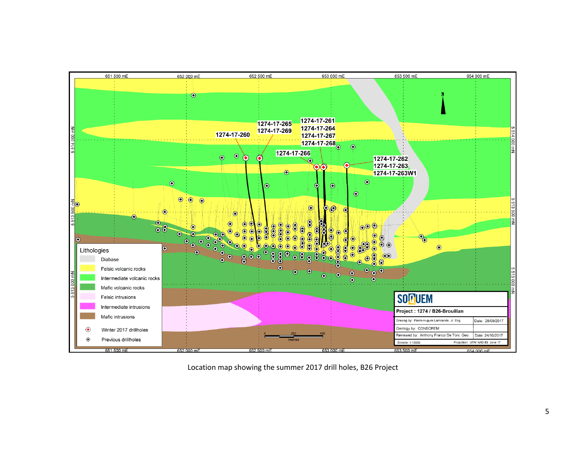

Location map showing the summer 2017 drill holes, B26 Project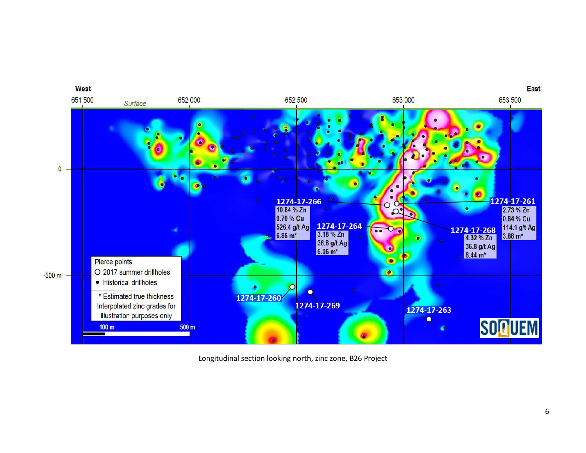

Longitudinal section looking north, zinc zone, B26 Project